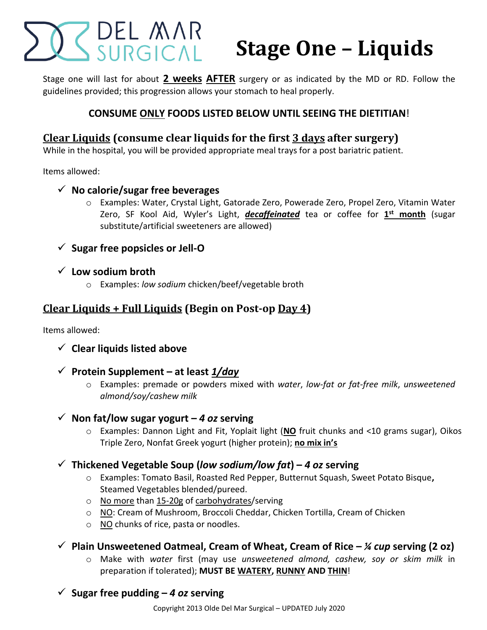# Z DEL MAR<br>SURGICAL **Stage One – Liquids**

Stage one will last for about **2 weeks AFTER** surgery or as indicated by the MD or RD. Follow the guidelines provided; this progression allows your stomach to heal properly.

## **CONSUME ONLY FOODS LISTED BELOW UNTIL SEEING THE DIETITIAN**!

# **Clear Liquids (consume clear liquids for the first 3 days after surgery)**

While in the hospital, you will be provided appropriate meal trays for a post bariatric patient.

Items allowed:

- **No calorie/sugar free beverages**
	- o Examples: Water, Crystal Light, Gatorade Zero, Powerade Zero, Propel Zero, Vitamin Water Zero, SF Kool Aid, Wyler's Light, *decaffeinated* tea or coffee for **1 st month** (sugar substitute/artificial sweeteners are allowed)
- **Sugar free popsicles or Jell-O**
- **Low sodium broth**
	- o Examples: *low sodium* chicken/beef/vegetable broth

# **Clear Liquids + Full Liquids (Begin on Post-op Day 4)**

Items allowed:

- **Clear liquids listed above**
- **Protein Supplement – at least** *1/day*
	- o Examples: premade or powders mixed with *water*, *low-fat or fat-free milk*, *unsweetened almond/soy/cashew milk*
- $\checkmark$  Non fat/low sugar yogurt 4 *oz* serving
	- o Examples: Dannon Light and Fit, Yoplait light (**NO** fruit chunks and <10 grams sugar), Oikos Triple Zero, Nonfat Greek yogurt (higher protein); **no mix in's**
- $\checkmark$  Thickened Vegetable Soup (low sodium/low fat) 4 oz serving
	- o Examples: Tomato Basil, Roasted Red Pepper, Butternut Squash, Sweet Potato Bisque**,**  Steamed Vegetables blended/pureed.
	- o No more than 15-20g of carbohydrates/serving
	- o NO: Cream of Mushroom, Broccoli Cheddar, Chicken Tortilla, Cream of Chicken
	- o NO chunks of rice, pasta or noodles.
- **Plain Unsweetened Oatmeal, Cream of Wheat, Cream of Rice –** *¼ cup* **serving (2 oz)**
	- o Make with *water* first (may use *unsweetened almond, cashew, soy or skim milk* in preparation if tolerated); **MUST BE WATERY, RUNNY AND THIN**!
- $\checkmark$  Sugar free pudding  $-$  4 *oz* serving